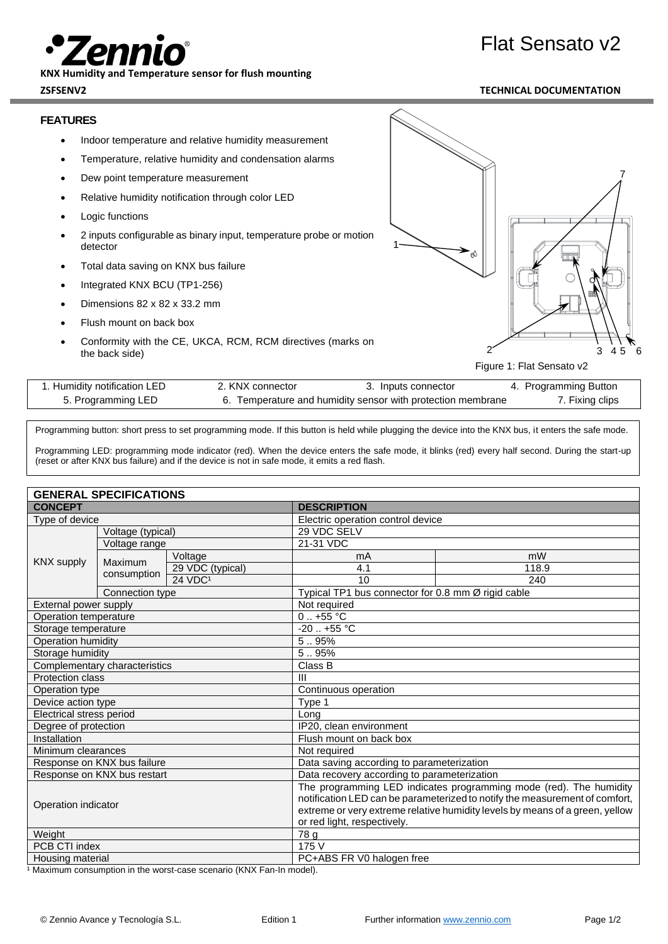## Flat Sensato v2



**KNX Humidity and Temperature sensor for flush mounting**

**ZSFSENV2 TECHNICAL DOCUMENTATION**

## **FEATURES**

- Indoor temperature and relative humidity measurement
- Temperature, relative humidity and condensation alarms
- Dew point temperature measurement
- Relative humidity notification through color LED
- **Logic functions**
- 2 inputs configurable as binary input, temperature probe or motion detector
- Total data saving on KNX bus failure
- Integrated KNX BCU (TP1-256)
- Dimensions 82 x 82 x 33.2 mm
- Flush mount on back box
- Conformity with the CE, UKCA, RCM, RCM directives (marks on the back side)



Figure 1: Flat Sensato v2

| 1. Humidity notification LED | 2. KNX connector | 3. Inputs connector                                         | 4. Programming Button |
|------------------------------|------------------|-------------------------------------------------------------|-----------------------|
| 5. Programming LED           |                  | 6. Temperature and humidity sensor with protection membrane | 7. Fixing clips       |

Programming button: short press to set programming mode. If this button is held while plugging the device into the KNX bus, it enters the safe mode.

Programming LED: programming mode indicator (red). When the device enters the safe mode, it blinks (red) every half second. During the start-up (reset or after KNX bus failure) and if the device is not in safe mode, it emits a red flash.

| <b>GENERAL SPECIFICATIONS</b> |                   |                                                                                                                                                                                                                                                                  |                                                    |       |
|-------------------------------|-------------------|------------------------------------------------------------------------------------------------------------------------------------------------------------------------------------------------------------------------------------------------------------------|----------------------------------------------------|-------|
| <b>CONCEPT</b>                |                   | <b>DESCRIPTION</b>                                                                                                                                                                                                                                               |                                                    |       |
| Type of device                |                   | Electric operation control device                                                                                                                                                                                                                                |                                                    |       |
|                               | Voltage (typical) |                                                                                                                                                                                                                                                                  | 29 VDC SELV                                        |       |
| <b>KNX supply</b>             | Voltage range     |                                                                                                                                                                                                                                                                  | 21-31 VDC                                          |       |
|                               |                   | Voltage                                                                                                                                                                                                                                                          | mA                                                 | mW    |
|                               | <b>Maximum</b>    | 29 VDC (typical)                                                                                                                                                                                                                                                 | 4.1                                                | 118.9 |
|                               | consumption       | 24 VDC <sup>1</sup>                                                                                                                                                                                                                                              | 10                                                 | 240   |
|                               | Connection type   |                                                                                                                                                                                                                                                                  | Typical TP1 bus connector for 0.8 mm Ø rigid cable |       |
| External power supply         |                   | Not required                                                                                                                                                                                                                                                     |                                                    |       |
| Operation temperature         |                   | $0.1 + 55$ °C                                                                                                                                                                                                                                                    |                                                    |       |
| Storage temperature           |                   | $-20$ $+55$ °C                                                                                                                                                                                                                                                   |                                                    |       |
| Operation humidity            |                   | 5.95%                                                                                                                                                                                                                                                            |                                                    |       |
| Storage humidity              |                   | 5.95%                                                                                                                                                                                                                                                            |                                                    |       |
| Complementary characteristics |                   | Class B                                                                                                                                                                                                                                                          |                                                    |       |
| <b>Protection class</b>       |                   | $\mathbf{H}$                                                                                                                                                                                                                                                     |                                                    |       |
| Operation type                |                   | Continuous operation                                                                                                                                                                                                                                             |                                                    |       |
| Device action type            |                   | Type 1                                                                                                                                                                                                                                                           |                                                    |       |
| Electrical stress period      |                   | Lona                                                                                                                                                                                                                                                             |                                                    |       |
| Degree of protection          |                   | IP20, clean environment                                                                                                                                                                                                                                          |                                                    |       |
| Installation                  |                   | Flush mount on back box                                                                                                                                                                                                                                          |                                                    |       |
| Minimum clearances            |                   | Not required                                                                                                                                                                                                                                                     |                                                    |       |
| Response on KNX bus failure   |                   | Data saving according to parameterization                                                                                                                                                                                                                        |                                                    |       |
| Response on KNX bus restart   |                   | Data recovery according to parameterization                                                                                                                                                                                                                      |                                                    |       |
| Operation indicator           |                   | The programming LED indicates programming mode (red). The humidity<br>notification LED can be parameterized to notify the measurement of comfort,<br>extreme or very extreme relative humidity levels by means of a green, yellow<br>or red light, respectively. |                                                    |       |
| Weight                        |                   | 78 g                                                                                                                                                                                                                                                             |                                                    |       |
| PCB CTI index                 |                   | 175 V                                                                                                                                                                                                                                                            |                                                    |       |
| Housing material              |                   | PC+ABS FR V0 halogen free                                                                                                                                                                                                                                        |                                                    |       |

<sup>1</sup> Maximum consumption in the worst-case scenario (KNX Fan-In model).